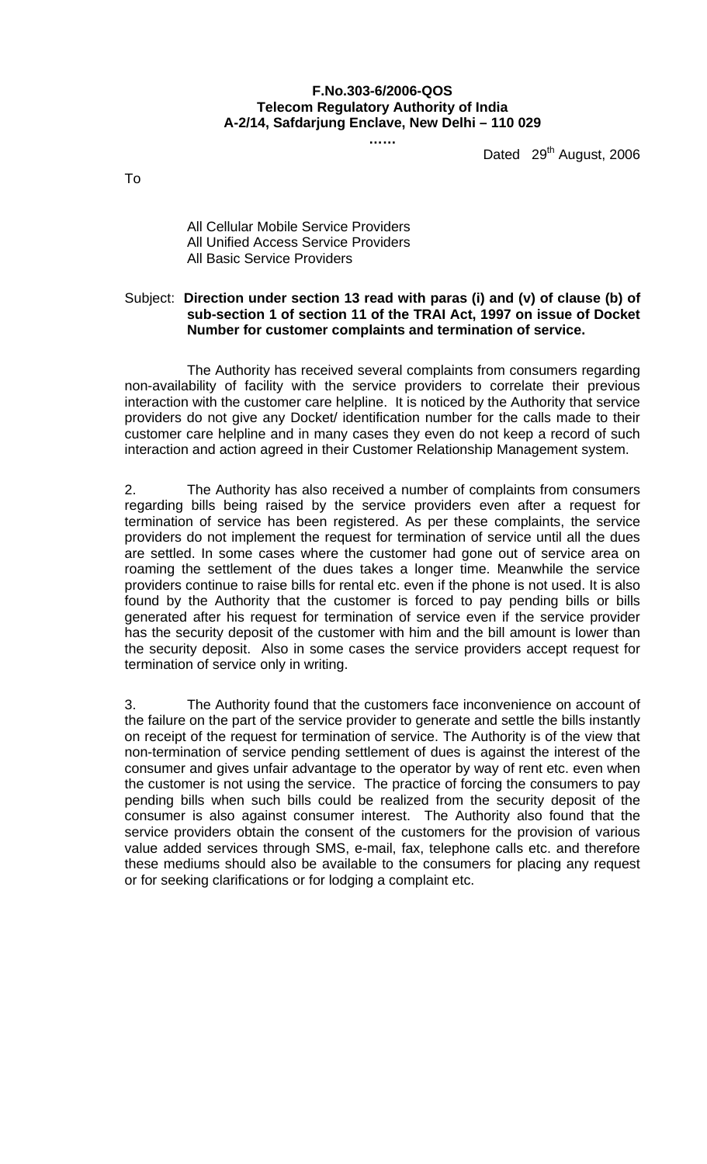## **F.No.303-6/2006-QOS Telecom Regulatory Authority of India A-2/14, Safdarjung Enclave, New Delhi – 110 029**

**……** 

Dated 29<sup>th</sup> August, 2006

To

All Cellular Mobile Service Providers All Unified Access Service Providers All Basic Service Providers

## Subject: **Direction under section 13 read with paras (i) and (v) of clause (b) of sub-section 1 of section 11 of the TRAI Act, 1997 on issue of Docket Number for customer complaints and termination of service.**

 The Authority has received several complaints from consumers regarding non-availability of facility with the service providers to correlate their previous interaction with the customer care helpline. It is noticed by the Authority that service providers do not give any Docket/ identification number for the calls made to their customer care helpline and in many cases they even do not keep a record of such interaction and action agreed in their Customer Relationship Management system.

2. The Authority has also received a number of complaints from consumers regarding bills being raised by the service providers even after a request for termination of service has been registered. As per these complaints, the service providers do not implement the request for termination of service until all the dues are settled. In some cases where the customer had gone out of service area on roaming the settlement of the dues takes a longer time. Meanwhile the service providers continue to raise bills for rental etc. even if the phone is not used. It is also found by the Authority that the customer is forced to pay pending bills or bills generated after his request for termination of service even if the service provider has the security deposit of the customer with him and the bill amount is lower than the security deposit. Also in some cases the service providers accept request for termination of service only in writing.

3. The Authority found that the customers face inconvenience on account of the failure on the part of the service provider to generate and settle the bills instantly on receipt of the request for termination of service. The Authority is of the view that non-termination of service pending settlement of dues is against the interest of the consumer and gives unfair advantage to the operator by way of rent etc. even when the customer is not using the service. The practice of forcing the consumers to pay pending bills when such bills could be realized from the security deposit of the consumer is also against consumer interest. The Authority also found that the service providers obtain the consent of the customers for the provision of various value added services through SMS, e-mail, fax, telephone calls etc. and therefore these mediums should also be available to the consumers for placing any request or for seeking clarifications or for lodging a complaint etc.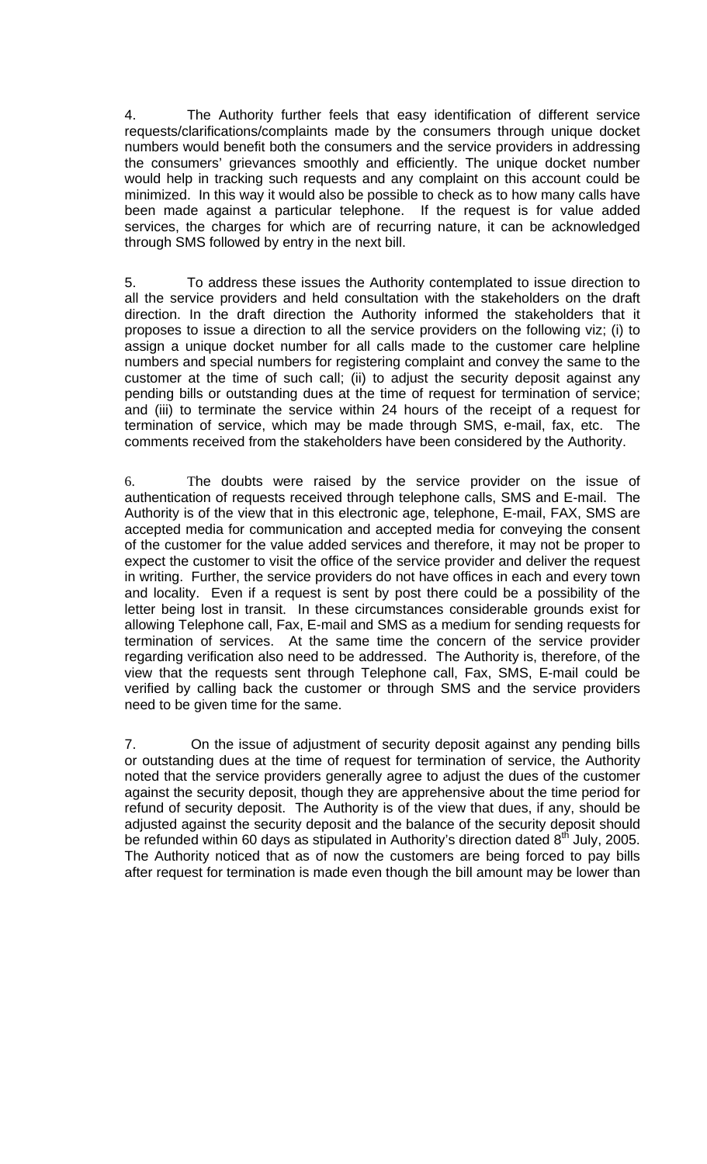4. The Authority further feels that easy identification of different service requests/clarifications/complaints made by the consumers through unique docket numbers would benefit both the consumers and the service providers in addressing the consumers' grievances smoothly and efficiently. The unique docket number would help in tracking such requests and any complaint on this account could be minimized. In this way it would also be possible to check as to how many calls have been made against a particular telephone. If the request is for value added services, the charges for which are of recurring nature, it can be acknowledged through SMS followed by entry in the next bill.

5. To address these issues the Authority contemplated to issue direction to all the service providers and held consultation with the stakeholders on the draft direction. In the draft direction the Authority informed the stakeholders that it proposes to issue a direction to all the service providers on the following viz; (i) to assign a unique docket number for all calls made to the customer care helpline numbers and special numbers for registering complaint and convey the same to the customer at the time of such call; (ii) to adjust the security deposit against any pending bills or outstanding dues at the time of request for termination of service; and (iii) to terminate the service within 24 hours of the receipt of a request for termination of service, which may be made through SMS, e-mail, fax, etc. The comments received from the stakeholders have been considered by the Authority.

6. The doubts were raised by the service provider on the issue of authentication of requests received through telephone calls, SMS and E-mail. The Authority is of the view that in this electronic age, telephone, E-mail, FAX, SMS are accepted media for communication and accepted media for conveying the consent of the customer for the value added services and therefore, it may not be proper to expect the customer to visit the office of the service provider and deliver the request in writing. Further, the service providers do not have offices in each and every town and locality. Even if a request is sent by post there could be a possibility of the letter being lost in transit. In these circumstances considerable grounds exist for allowing Telephone call, Fax, E-mail and SMS as a medium for sending requests for termination of services. At the same time the concern of the service provider regarding verification also need to be addressed. The Authority is, therefore, of the view that the requests sent through Telephone call, Fax, SMS, E-mail could be verified by calling back the customer or through SMS and the service providers need to be given time for the same.

7. On the issue of adjustment of security deposit against any pending bills or outstanding dues at the time of request for termination of service, the Authority noted that the service providers generally agree to adjust the dues of the customer against the security deposit, though they are apprehensive about the time period for refund of security deposit. The Authority is of the view that dues, if any, should be adjusted against the security deposit and the balance of the security deposit should be refunded within 60 days as stipulated in Authority's direction dated  $8<sup>th</sup>$  July, 2005. The Authority noticed that as of now the customers are being forced to pay bills after request for termination is made even though the bill amount may be lower than